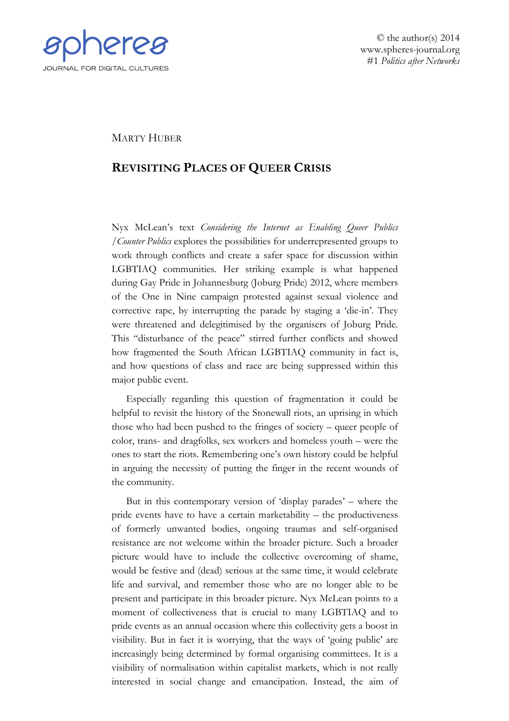

© the author(s) 2014 www.spheres-journal.org #1 *Politics after Networks*

## MARTY HUBER

## **REVISITING PLACES OF QUEER CRISIS**

Nyx McLean's text *Considering the Internet as Enabling Queer Publics /Counter Publics* explores the possibilities for underrepresented groups to work through conflicts and create a safer space for discussion within LGBTIAQ communities. Her striking example is what happened during Gay Pride in Johannesburg (Joburg Pride) 2012, where members of the One in Nine campaign protested against sexual violence and corrective rape, by interrupting the parade by staging a 'die-in'. They were threatened and delegitimised by the organisers of Joburg Pride. This "disturbance of the peace" stirred further conflicts and showed how fragmented the South African LGBTIAQ community in fact is, and how questions of class and race are being suppressed within this major public event.

Especially regarding this question of fragmentation it could be helpful to revisit the history of the Stonewall riots, an uprising in which those who had been pushed to the fringes of society – queer people of color, trans- and dragfolks, sex workers and homeless youth – were the ones to start the riots. Remembering one's own history could be helpful in arguing the necessity of putting the finger in the recent wounds of the community.

But in this contemporary version of 'display parades' – where the pride events have to have a certain marketability – the productiveness of formerly unwanted bodies, ongoing traumas and self-organised resistance are not welcome within the broader picture. Such a broader picture would have to include the collective overcoming of shame, would be festive and (dead) serious at the same time, it would celebrate life and survival, and remember those who are no longer able to be present and participate in this broader picture. Nyx McLean points to a moment of collectiveness that is crucial to many LGBTIAQ and to pride events as an annual occasion where this collectivity gets a boost in visibility. But in fact it is worrying, that the ways of 'going public' are increasingly being determined by formal organising committees. It is a visibility of normalisation within capitalist markets, which is not really interested in social change and emancipation. Instead, the aim of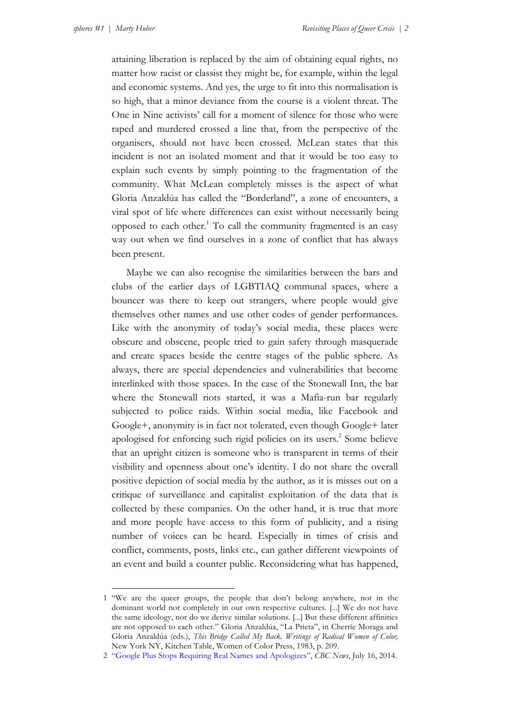$\overline{a}$ 

attaining liberation is replaced by the aim of obtaining equal rights, no matter how racist or classist they might be, for example, within the legal and economic systems. And yes, the urge to fit into this normalisation is so high, that a minor deviance from the course is a violent threat. The One in Nine activists' call for a moment of silence for those who were raped and murdered crossed a line that, from the perspective of the organisers, should not have been crossed. McLean states that this incident is not an isolated moment and that it would be too easy to explain such events by simply pointing to the fragmentation of the community. What McLean completely misses is the aspect of what Gloria Anzaldúa has called the "Borderland", a zone of encounters, a viral spot of life where differences can exist without necessarily being opposed to each other.<sup>1</sup> To call the community fragmented is an easy way out when we find ourselves in a zone of conflict that has always been present.

Maybe we can also recognise the similarities between the bars and clubs of the earlier days of LGBTIAQ communal spaces, where a bouncer was there to keep out strangers, where people would give themselves other names and use other codes of gender performances. Like with the anonymity of today's social media, these places were obscure and obscene, people tried to gain safety through masquerade and create spaces beside the centre stages of the public sphere. As always, there are special dependencies and vulnerabilities that become interlinked with those spaces. In the case of the Stonewall Inn, the bar where the Stonewall riots started, it was a Mafia-run bar regularly subjected to police raids. Within social media, like Facebook and Google+, anonymity is in fact not tolerated, even though Google+ later apologised for enforcing such rigid policies on its users.<sup>2</sup> Some believe that an upright citizen is someone who is transparent in terms of their visibility and openness about one's identity. I do not share the overall positive depiction of social media by the author, as it is misses out on a critique of surveillance and capitalist exploitation of the data that is collected by these companies. On the other hand, it is true that more and more people have access to this form of publicity, and a rising number of voices can be heard. Especially in times of crisis and conflict, comments, posts, links etc., can gather different viewpoints of an event and build a counter public. Reconsidering what has happened,

<sup>1</sup> "We are the queer groups, the people that don't belong anywhere, not in the dominant world nor completely in our own respective cultures. [...] We do not have the same ideology, nor do we derive similar solutions. [...] But these different affinities are not opposed to each other." Gloria Anzaldúa, "La Prieta", in Cherríe Moraga and Gloria Anzaldúa (eds.), *This Bridge Called My Back. Writings of Radical Women of Color,* New York NY, Kitchen Table, Women of Color Press, 1983, p. 209.

<sup>2</sup> ["Google Plus Stops Requiring Real Names and Apologizes"](http://www.cbc.ca/news/technology/google-plus-stops-requiring-real-names-and-apologizes-1.2708630), *CBC News*, July 16, 2014.